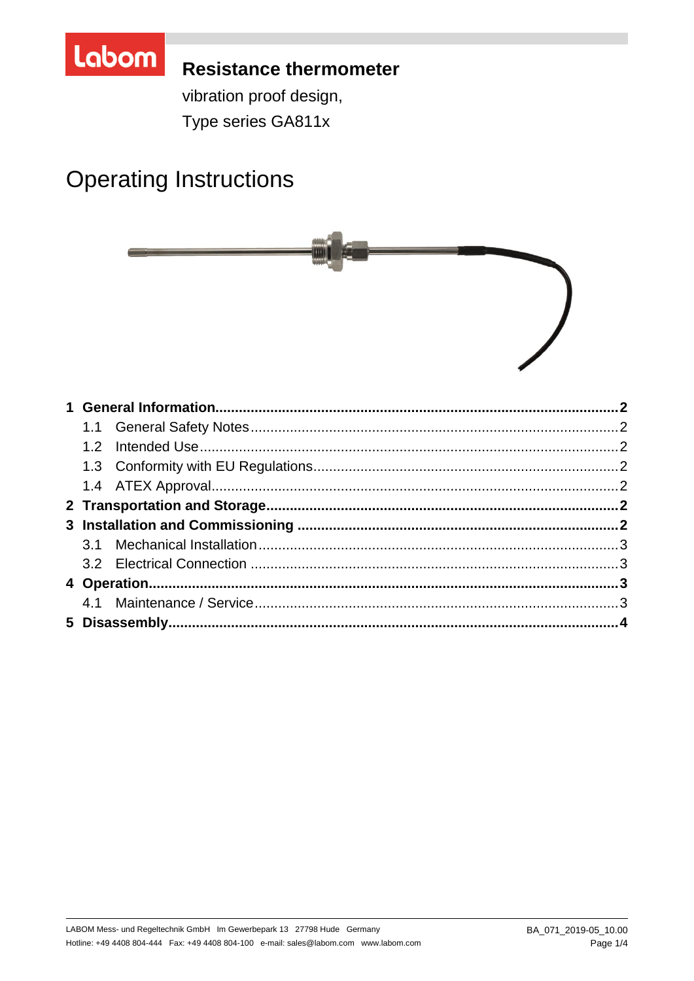

## **Resistance thermometer**

vibration proof design,

Type series GA811x

# **Operating Instructions**

| 1.2 <sub>1</sub> |  |
|------------------|--|
|                  |  |
|                  |  |
|                  |  |
|                  |  |
|                  |  |
|                  |  |
|                  |  |
|                  |  |
|                  |  |
|                  |  |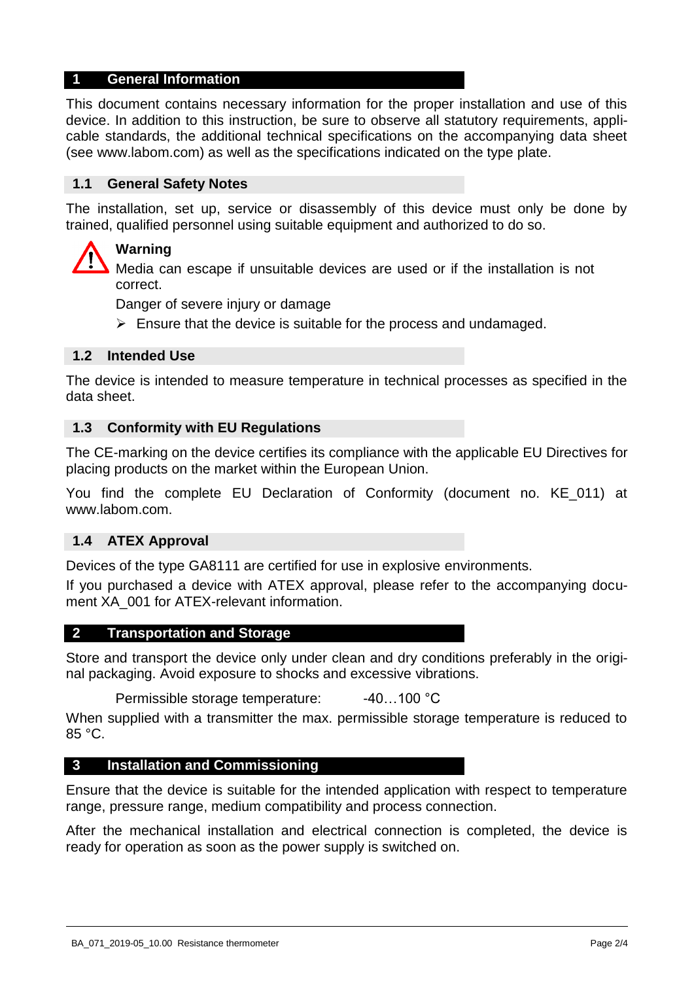## **1 General Information**

This document contains necessary information for the proper installation and use of this device. In addition to this instruction, be sure to observe all statutory requirements, applicable standards, the additional technical specifications on the accompanying data sheet (see www.labom.com) as well as the specifications indicated on the type plate.

#### **1.1 General Safety Notes**

The installation, set up, service or disassembly of this device must only be done by trained, qualified personnel using suitable equipment and authorized to do so.

## **Warning**

Media can escape if unsuitable devices are used or if the installation is not correct.

Danger of severe injury or damage

 $\triangleright$  Ensure that the device is suitable for the process and undamaged.

## **1.2 Intended Use**

The device is intended to measure temperature in technical processes as specified in the data sheet.

#### **1.3 Conformity with EU Regulations**

The CE-marking on the device certifies its compliance with the applicable EU Directives for placing products on the market within the European Union.

You find the complete EU Declaration of Conformity (document no. KE\_011) at www.labom.com.

#### **1.4 ATEX Approval**

Devices of the type GA8111 are certified for use in explosive environments.

If you purchased a device with ATEX approval, please refer to the accompanying document XA 001 for ATEX-relevant information.

#### **2 Transportation and Storage**

Store and transport the device only under clean and dry conditions preferably in the original packaging. Avoid exposure to shocks and excessive vibrations.

Permissible storage temperature: -40...100 °C

When supplied with a transmitter the max. permissible storage temperature is reduced to 85 °C.

#### **3 Installation and Commissioning**

Ensure that the device is suitable for the intended application with respect to temperature range, pressure range, medium compatibility and process connection.

After the mechanical installation and electrical connection is completed, the device is ready for operation as soon as the power supply is switched on.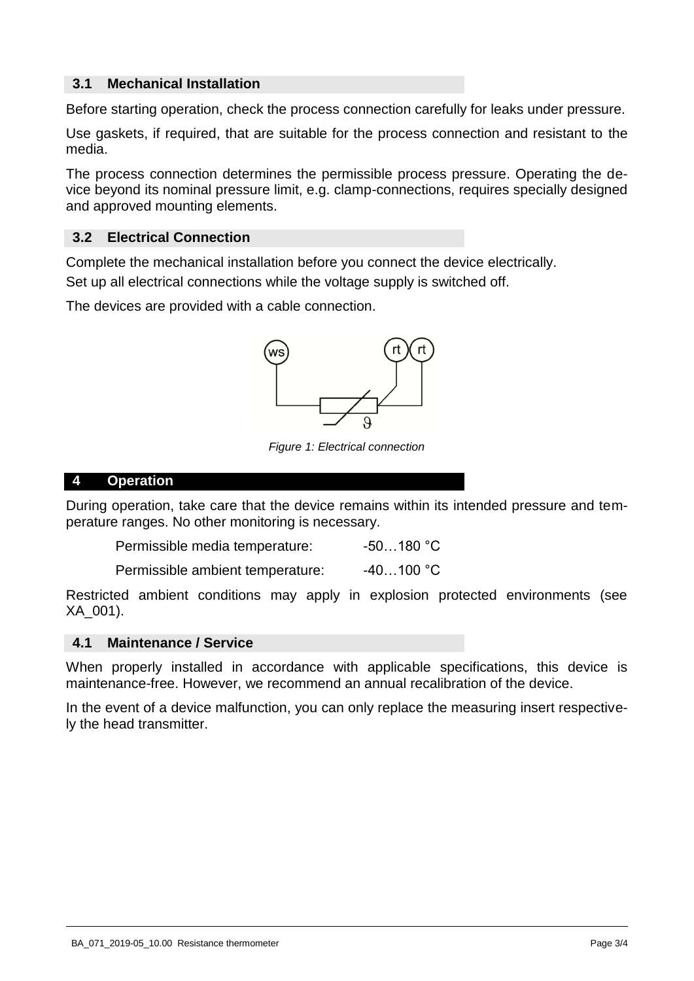## **3.1 Mechanical Installation**

Before starting operation, check the process connection carefully for leaks under pressure.

Use gaskets, if required, that are suitable for the process connection and resistant to the media.

The process connection determines the permissible process pressure. Operating the device beyond its nominal pressure limit, e.g. clamp-connections, requires specially designed and approved mounting elements.

## **3.2 Electrical Connection**

Complete the mechanical installation before you connect the device electrically. Set up all electrical connections while the voltage supply is switched off.

The devices are provided with a cable connection.



*Figure 1: Electrical connection* 

#### **4 Operation**

During operation, take care that the device remains within its intended pressure and temperature ranges. No other monitoring is necessary.

| Permissible media temperature: | $-50180 °C$ |
|--------------------------------|-------------|
|--------------------------------|-------------|

Permissible ambient temperature: -40...100 °C

Restricted ambient conditions may apply in explosion protected environments (see XA\_001).

## **4.1 Maintenance / Service**

When properly installed in accordance with applicable specifications, this device is maintenance-free. However, we recommend an annual recalibration of the device.

In the event of a device malfunction, you can only replace the measuring insert respectively the head transmitter.